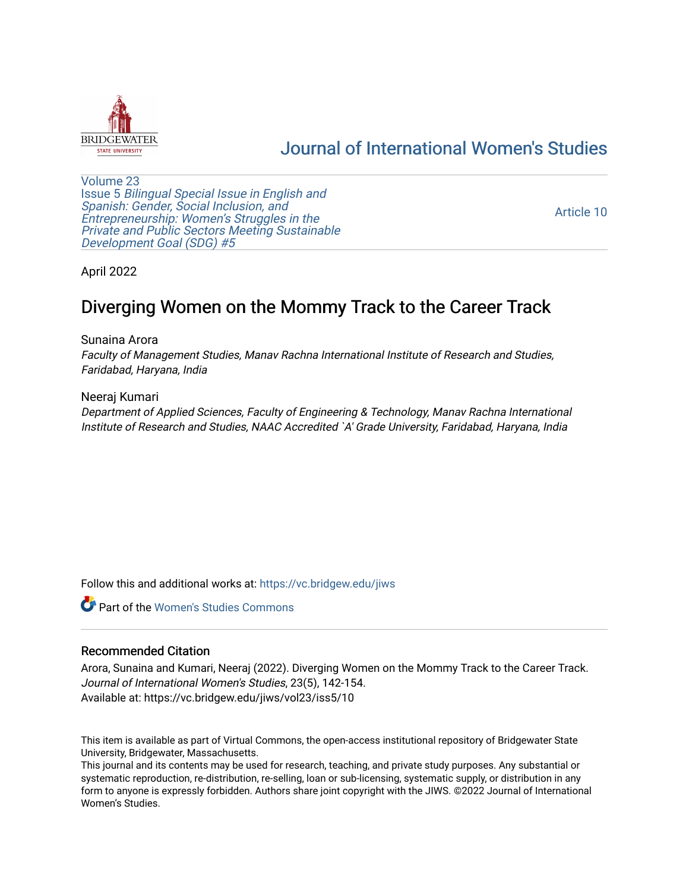

# [Journal of International Women's Studies](https://vc.bridgew.edu/jiws)

[Volume 23](https://vc.bridgew.edu/jiws/vol23) Issue 5 [Bilingual Special Issue in English and](https://vc.bridgew.edu/jiws/vol23/iss5)  [Spanish: Gender, Social Inclusion, and](https://vc.bridgew.edu/jiws/vol23/iss5)  [Entrepreneurship: Women's Struggles in the](https://vc.bridgew.edu/jiws/vol23/iss5)  [Private and Public Sectors Meeting Sustainable](https://vc.bridgew.edu/jiws/vol23/iss5) [Development Goal \(SDG\) #5](https://vc.bridgew.edu/jiws/vol23/iss5) 

[Article 10](https://vc.bridgew.edu/jiws/vol23/iss5/10) 

April 2022

# Diverging Women on the Mommy Track to the Career Track

Sunaina Arora

Faculty of Management Studies, Manav Rachna International Institute of Research and Studies, Faridabad, Haryana, India

Neeraj Kumari Department of Applied Sciences, Faculty of Engineering & Technology, Manav Rachna International Institute of Research and Studies, NAAC Accredited `A' Grade University, Faridabad, Haryana, India

Follow this and additional works at: [https://vc.bridgew.edu/jiws](https://vc.bridgew.edu/jiws?utm_source=vc.bridgew.edu%2Fjiws%2Fvol23%2Fiss5%2F10&utm_medium=PDF&utm_campaign=PDFCoverPages)

**C** Part of the Women's Studies Commons

#### Recommended Citation

Arora, Sunaina and Kumari, Neeraj (2022). Diverging Women on the Mommy Track to the Career Track. Journal of International Women's Studies, 23(5), 142-154. Available at: https://vc.bridgew.edu/jiws/vol23/iss5/10

This item is available as part of Virtual Commons, the open-access institutional repository of Bridgewater State University, Bridgewater, Massachusetts.

This journal and its contents may be used for research, teaching, and private study purposes. Any substantial or systematic reproduction, re-distribution, re-selling, loan or sub-licensing, systematic supply, or distribution in any form to anyone is expressly forbidden. Authors share joint copyright with the JIWS. ©2022 Journal of International Women's Studies.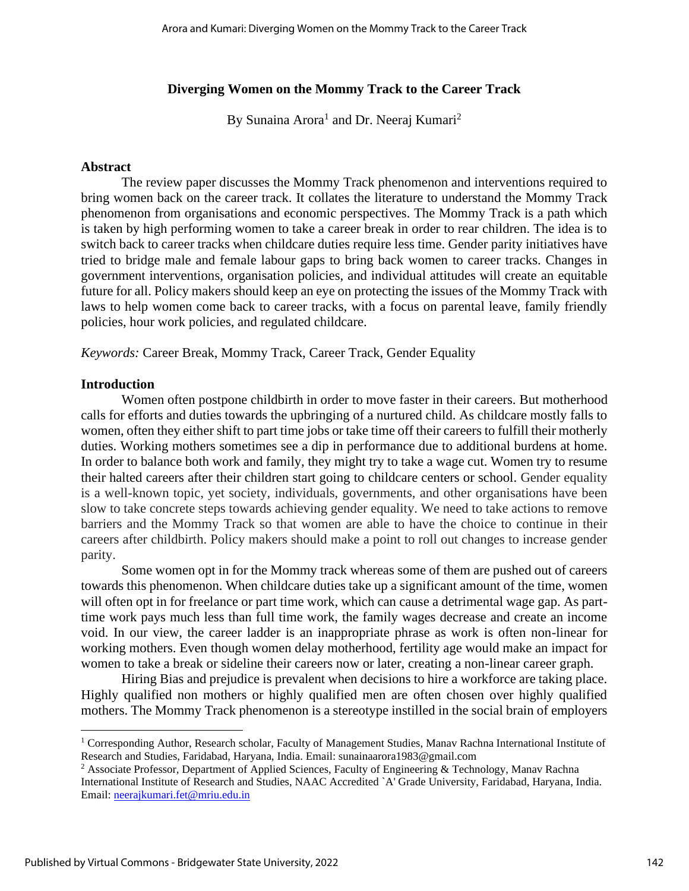## **Diverging Women on the Mommy Track to the Career Track**

By Sunaina Arora<sup>1</sup> and Dr. Neeraj Kumari<sup>2</sup>

#### **Abstract**

The review paper discusses the Mommy Track phenomenon and interventions required to bring women back on the career track. It collates the literature to understand the Mommy Track phenomenon from organisations and economic perspectives. The Mommy Track is a path which is taken by high performing women to take a career break in order to rear children. The idea is to switch back to career tracks when childcare duties require less time. Gender parity initiatives have tried to bridge male and female labour gaps to bring back women to career tracks. Changes in government interventions, organisation policies, and individual attitudes will create an equitable future for all. Policy makers should keep an eye on protecting the issues of the Mommy Track with laws to help women come back to career tracks, with a focus on parental leave, family friendly policies, hour work policies, and regulated childcare.

*Keywords:* Career Break, Mommy Track, Career Track, Gender Equality

#### **Introduction**

Women often postpone childbirth in order to move faster in their careers. But motherhood calls for efforts and duties towards the upbringing of a nurtured child. As childcare mostly falls to women, often they either shift to part time jobs or take time off their careers to fulfill their motherly duties. Working mothers sometimes see a dip in performance due to additional burdens at home. In order to balance both work and family, they might try to take a wage cut. Women try to resume their halted careers after their children start going to childcare centers or school. Gender equality is a well-known topic, yet society, individuals, governments, and other organisations have been slow to take concrete steps towards achieving gender equality. We need to take actions to remove barriers and the Mommy Track so that women are able to have the choice to continue in their careers after childbirth. Policy makers should make a point to roll out changes to increase gender parity.

Some women opt in for the Mommy track whereas some of them are pushed out of careers towards this phenomenon. When childcare duties take up a significant amount of the time, women will often opt in for freelance or part time work, which can cause a detrimental wage gap. As parttime work pays much less than full time work, the family wages decrease and create an income void. In our view, the career ladder is an inappropriate phrase as work is often non-linear for working mothers. Even though women delay motherhood, fertility age would make an impact for women to take a break or sideline their careers now or later, creating a non-linear career graph.

Hiring Bias and prejudice is prevalent when decisions to hire a workforce are taking place. Highly qualified non mothers or highly qualified men are often chosen over highly qualified mothers. The Mommy Track phenomenon is a stereotype instilled in the social brain of employers

<sup>&</sup>lt;sup>1</sup> Corresponding Author, Research scholar, Faculty of Management Studies, Manav Rachna International Institute of Research and Studies, Faridabad, Haryana, India. Email: sunainaarora1983@gmail.com

<sup>&</sup>lt;sup>2</sup> Associate Professor, Department of Applied Sciences, Faculty of Engineering & Technology, Manav Rachna International Institute of Research and Studies, NAAC Accredited `A' Grade University, Faridabad, Haryana, India. Email: [neerajkumari.fet@mriu.edu.in](mailto:neerajkumari.fet@mriu.edu.in)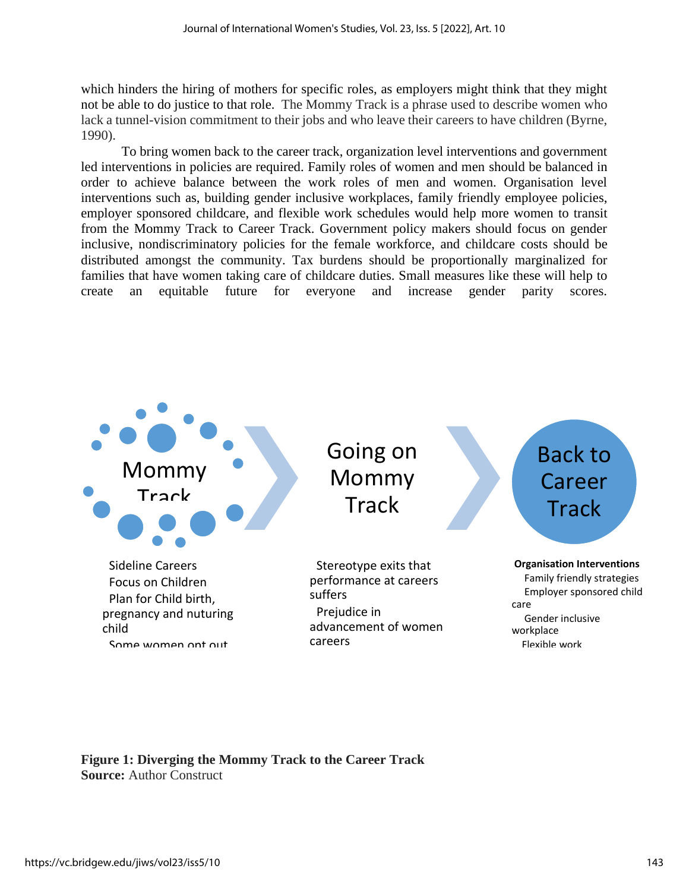which hinders the hiring of mothers for specific roles, as employers might think that they might not be able to do justice to that role. The Mommy Track is a phrase used to describe women who lack a tunnel-vision commitment to their jobs and who leave their careers to have children (Byrne, 1990).

To bring women back to the career track, organization level interventions and government led interventions in policies are required. Family roles of women and men should be balanced in order to achieve balance between the work roles of men and women. Organisation level interventions such as, building gender inclusive workplaces, family friendly employee policies, employer sponsored childcare, and flexible work schedules would help more women to transit from the Mommy Track to Career Track. Government policy makers should focus on gender inclusive, nondiscriminatory policies for the female workforce, and childcare costs should be distributed amongst the community. Tax burdens should be proportionally marginalized for families that have women taking care of childcare duties. Small measures like these will help to create an equitable future for everyone and increase gender parity scores.



**Figure 1: Diverging the Mommy Track to the Career Track Source:** Author Construct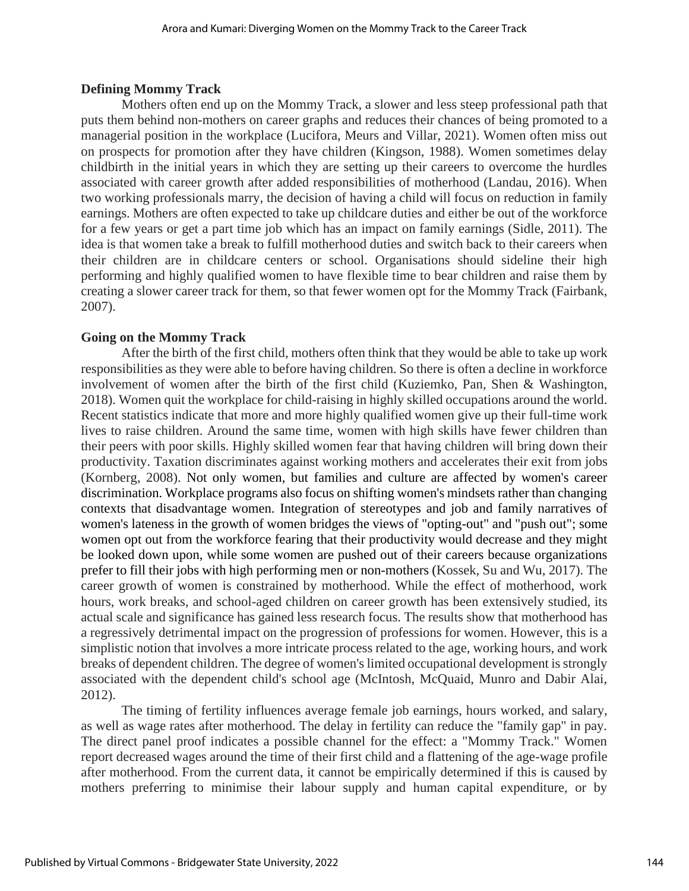#### **Defining Mommy Track**

Mothers often end up on the Mommy Track, a slower and less steep professional path that puts them behind non-mothers on career graphs and reduces their chances of being promoted to a managerial position in the workplace (Lucifora, Meurs and Villar, 2021). Women often miss out on prospects for promotion after they have children (Kingson, 1988). Women sometimes delay childbirth in the initial years in which they are setting up their careers to overcome the hurdles associated with career growth after added responsibilities of motherhood (Landau, 2016). When two working professionals marry, the decision of having a child will focus on reduction in family earnings. Mothers are often expected to take up childcare duties and either be out of the workforce for a few years or get a part time job which has an impact on family earnings (Sidle, 2011). The idea is that women take a break to fulfill motherhood duties and switch back to their careers when their children are in childcare centers or school. Organisations should sideline their high performing and highly qualified women to have flexible time to bear children and raise them by creating a slower career track for them, so that fewer women opt for the Mommy Track (Fairbank, 2007).

## **Going on the Mommy Track**

After the birth of the first child, mothers often think that they would be able to take up work responsibilities as they were able to before having children. So there is often a decline in workforce involvement of women after the birth of the first child (Kuziemko, Pan, Shen & Washington, 2018). Women quit the workplace for child-raising in highly skilled occupations around the world. Recent statistics indicate that more and more highly qualified women give up their full-time work lives to raise children. Around the same time, women with high skills have fewer children than their peers with poor skills. Highly skilled women fear that having children will bring down their productivity. Taxation discriminates against working mothers and accelerates their exit from jobs (Kornberg, 2008). Not only women, but families and culture are affected by women's career discrimination. Workplace programs also focus on shifting women's mindsets rather than changing contexts that disadvantage women. Integration of stereotypes and job and family narratives of women's lateness in the growth of women bridges the views of "opting-out" and "push out"; some women opt out from the workforce fearing that their productivity would decrease and they might be looked down upon, while some women are pushed out of their careers because organizations prefer to fill their jobs with high performing men or non-mothers (Kossek, Su and Wu, 2017). The career growth of women is constrained by motherhood. While the effect of motherhood, work hours, work breaks, and school-aged children on career growth has been extensively studied, its actual scale and significance has gained less research focus. The results show that motherhood has a regressively detrimental impact on the progression of professions for women. However, this is a simplistic notion that involves a more intricate process related to the age, working hours, and work breaks of dependent children. The degree of women's limited occupational development is strongly associated with the dependent child's school age (McIntosh, McQuaid, Munro and Dabir Alai, 2012).

The timing of fertility influences average female job earnings, hours worked, and salary, as well as wage rates after motherhood. The delay in fertility can reduce the "family gap" in pay. The direct panel proof indicates a possible channel for the effect: a "Mommy Track." Women report decreased wages around the time of their first child and a flattening of the age-wage profile after motherhood. From the current data, it cannot be empirically determined if this is caused by mothers preferring to minimise their labour supply and human capital expenditure, or by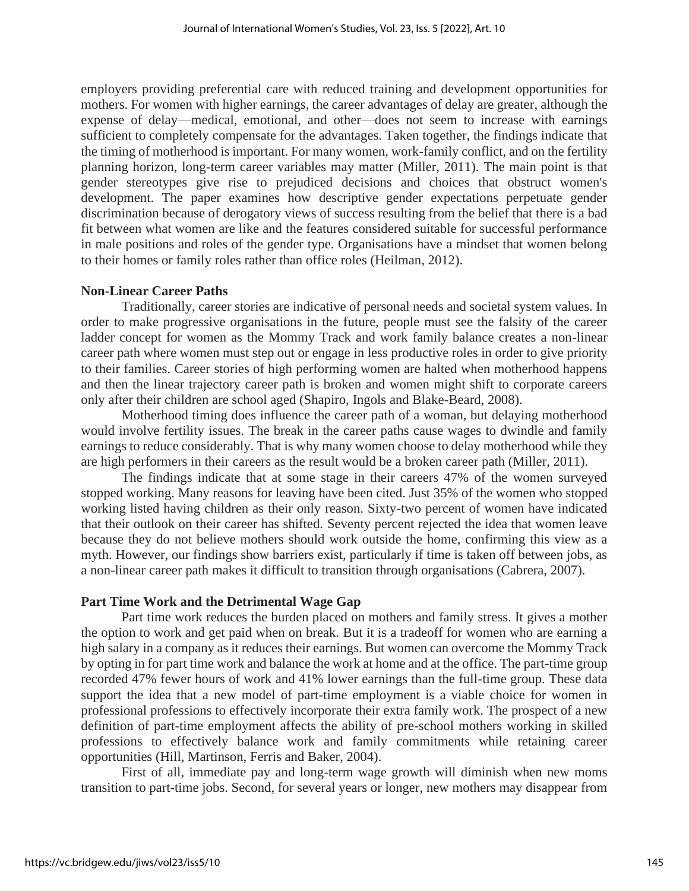employers providing preferential care with reduced training and development opportunities for mothers. For women with higher earnings, the career advantages of delay are greater, although the expense of delay—medical, emotional, and other—does not seem to increase with earnings sufficient to completely compensate for the advantages. Taken together, the findings indicate that the timing of motherhood is important. For many women, work-family conflict, and on the fertility planning horizon, long-term career variables may matter (Miller, 2011). The main point is that gender stereotypes give rise to prejudiced decisions and choices that obstruct women's development. The paper examines how descriptive gender expectations perpetuate gender discrimination because of derogatory views of success resulting from the belief that there is a bad fit between what women are like and the features considered suitable for successful performance in male positions and roles of the gender type. Organisations have a mindset that women belong to their homes or family roles rather than office roles (Heilman, 2012).

#### **Non-Linear Career Paths**

Traditionally, career stories are indicative of personal needs and societal system values. In order to make progressive organisations in the future, people must see the falsity of the career ladder concept for women as the Mommy Track and work family balance creates a non-linear career path where women must step out or engage in less productive roles in order to give priority to their families. Career stories of high performing women are halted when motherhood happens and then the linear trajectory career path is broken and women might shift to corporate careers only after their children are school aged (Shapiro, Ingols and Blake-Beard, 2008).

Motherhood timing does influence the career path of a woman, but delaying motherhood would involve fertility issues. The break in the career paths cause wages to dwindle and family earnings to reduce considerably. That is why many women choose to delay motherhood while they are high performers in their careers as the result would be a broken career path (Miller, 2011).

The findings indicate that at some stage in their careers 47% of the women surveyed stopped working. Many reasons for leaving have been cited. Just 35% of the women who stopped working listed having children as their only reason. Sixty-two percent of women have indicated that their outlook on their career has shifted. Seventy percent rejected the idea that women leave because they do not believe mothers should work outside the home, confirming this view as a myth. However, our findings show barriers exist, particularly if time is taken off between jobs, as a non-linear career path makes it difficult to transition through organisations (Cabrera, 2007).

#### **Part Time Work and the Detrimental Wage Gap**

Part time work reduces the burden placed on mothers and family stress. It gives a mother the option to work and get paid when on break. But it is a tradeoff for women who are earning a high salary in a company as it reduces their earnings. But women can overcome the Mommy Track by opting in for part time work and balance the work at home and at the office. The part-time group recorded 47% fewer hours of work and 41% lower earnings than the full-time group. These data support the idea that a new model of part-time employment is a viable choice for women in professional professions to effectively incorporate their extra family work. The prospect of a new definition of part-time employment affects the ability of pre-school mothers working in skilled professions to effectively balance work and family commitments while retaining career opportunities (Hill, Martinson, Ferris and Baker, 2004).

First of all, immediate pay and long-term wage growth will diminish when new moms transition to part-time jobs. Second, for several years or longer, new mothers may disappear from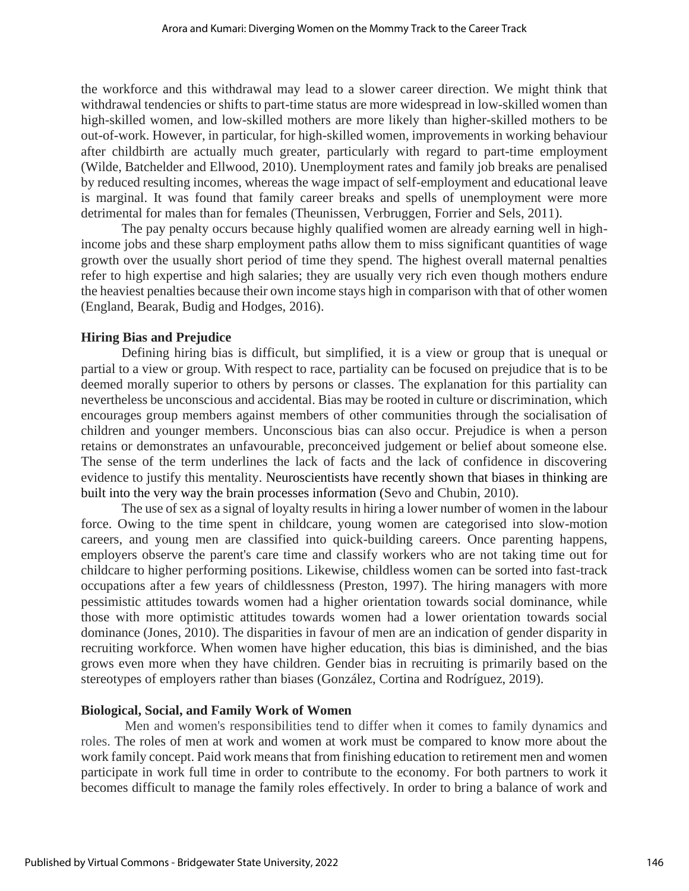the workforce and this withdrawal may lead to a slower career direction. We might think that withdrawal tendencies or shifts to part-time status are more widespread in low-skilled women than high-skilled women, and low-skilled mothers are more likely than higher-skilled mothers to be out-of-work. However, in particular, for high-skilled women, improvements in working behaviour after childbirth are actually much greater, particularly with regard to part-time employment (Wilde, Batchelder and Ellwood, 2010). Unemployment rates and family job breaks are penalised by reduced resulting incomes, whereas the wage impact of self-employment and educational leave is marginal. It was found that family career breaks and spells of unemployment were more detrimental for males than for females (Theunissen, Verbruggen, Forrier and Sels, 2011).

The pay penalty occurs because highly qualified women are already earning well in highincome jobs and these sharp employment paths allow them to miss significant quantities of wage growth over the usually short period of time they spend. The highest overall maternal penalties refer to high expertise and high salaries; they are usually very rich even though mothers endure the heaviest penalties because their own income stays high in comparison with that of other women (England, Bearak, Budig and Hodges, 2016).

## **Hiring Bias and Prejudice**

Defining hiring bias is difficult, but simplified, it is a view or group that is unequal or partial to a view or group. With respect to race, partiality can be focused on prejudice that is to be deemed morally superior to others by persons or classes. The explanation for this partiality can nevertheless be unconscious and accidental. Bias may be rooted in culture or discrimination, which encourages group members against members of other communities through the socialisation of children and younger members. Unconscious bias can also occur. Prejudice is when a person retains or demonstrates an unfavourable, preconceived judgement or belief about someone else. The sense of the term underlines the lack of facts and the lack of confidence in discovering evidence to justify this mentality. Neuroscientists have recently shown that biases in thinking are built into the very way the brain processes information (Sevo and Chubin, 2010).

The use of sex as a signal of loyalty results in hiring a lower number of women in the labour force. Owing to the time spent in childcare, young women are categorised into slow-motion careers, and young men are classified into quick-building careers. Once parenting happens, employers observe the parent's care time and classify workers who are not taking time out for childcare to higher performing positions. Likewise, childless women can be sorted into fast-track occupations after a few years of childlessness (Preston, 1997). The hiring managers with more pessimistic attitudes towards women had a higher orientation towards social dominance, while those with more optimistic attitudes towards women had a lower orientation towards social dominance (Jones, 2010). The disparities in favour of men are an indication of gender disparity in recruiting workforce. When women have higher education, this bias is diminished, and the bias grows even more when they have children. Gender bias in recruiting is primarily based on the stereotypes of employers rather than biases (González, Cortina and Rodríguez, 2019).

#### **Biological, Social, and Family Work of Women**

Men and women's responsibilities tend to differ when it comes to family dynamics and roles. The roles of men at work and women at work must be compared to know more about the work family concept. Paid work means that from finishing education to retirement men and women participate in work full time in order to contribute to the economy. For both partners to work it becomes difficult to manage the family roles effectively. In order to bring a balance of work and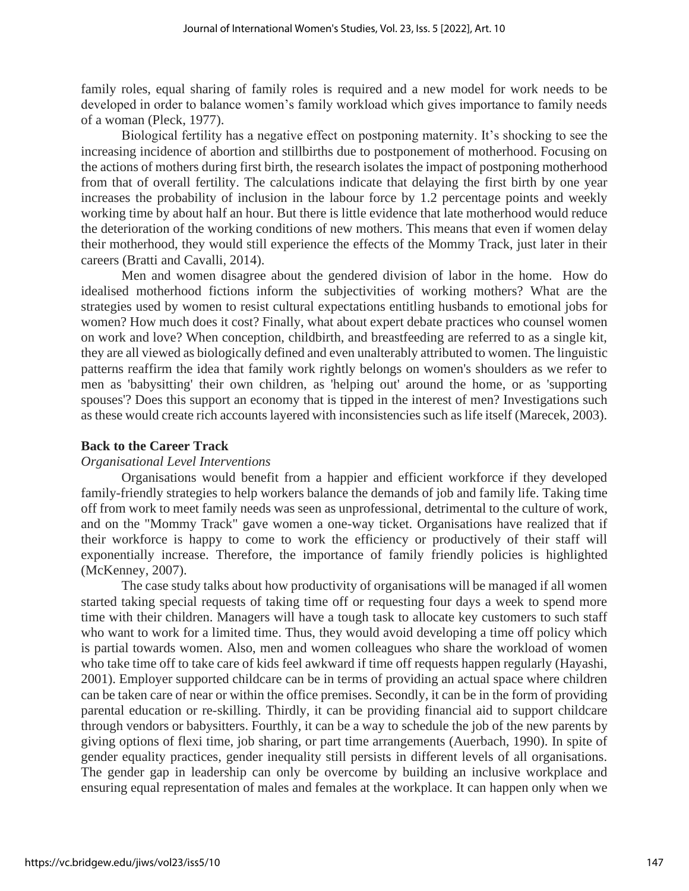family roles, equal sharing of family roles is required and a new model for work needs to be developed in order to balance women's family workload which gives importance to family needs of a woman (Pleck, 1977).

Biological fertility has a negative effect on postponing maternity. It's shocking to see the increasing incidence of abortion and stillbirths due to postponement of motherhood. Focusing on the actions of mothers during first birth, the research isolates the impact of postponing motherhood from that of overall fertility. The calculations indicate that delaying the first birth by one year increases the probability of inclusion in the labour force by 1.2 percentage points and weekly working time by about half an hour. But there is little evidence that late motherhood would reduce the deterioration of the working conditions of new mothers. This means that even if women delay their motherhood, they would still experience the effects of the Mommy Track, just later in their careers (Bratti and Cavalli, 2014).

Men and women disagree about the gendered division of labor in the home. How do idealised motherhood fictions inform the subjectivities of working mothers? What are the strategies used by women to resist cultural expectations entitling husbands to emotional jobs for women? How much does it cost? Finally, what about expert debate practices who counsel women on work and love? When conception, childbirth, and breastfeeding are referred to as a single kit, they are all viewed as biologically defined and even unalterably attributed to women. The linguistic patterns reaffirm the idea that family work rightly belongs on women's shoulders as we refer to men as 'babysitting' their own children, as 'helping out' around the home, or as 'supporting spouses'? Does this support an economy that is tipped in the interest of men? Investigations such as these would create rich accounts layered with inconsistencies such as life itself (Marecek, 2003).

#### **Back to the Career Track**

#### *Organisational Level Interventions*

Organisations would benefit from a happier and efficient workforce if they developed family-friendly strategies to help workers balance the demands of job and family life. Taking time off from work to meet family needs was seen as unprofessional, detrimental to the culture of work, and on the "Mommy Track" gave women a one-way ticket. Organisations have realized that if their workforce is happy to come to work the efficiency or productively of their staff will exponentially increase. Therefore, the importance of family friendly policies is highlighted (McKenney, 2007).

The case study talks about how productivity of organisations will be managed if all women started taking special requests of taking time off or requesting four days a week to spend more time with their children. Managers will have a tough task to allocate key customers to such staff who want to work for a limited time. Thus, they would avoid developing a time off policy which is partial towards women. Also, men and women colleagues who share the workload of women who take time off to take care of kids feel awkward if time off requests happen regularly (Hayashi, 2001). Employer supported childcare can be in terms of providing an actual space where children can be taken care of near or within the office premises. Secondly, it can be in the form of providing parental education or re-skilling. Thirdly, it can be providing financial aid to support childcare through vendors or babysitters. Fourthly, it can be a way to schedule the job of the new parents by giving options of flexi time, job sharing, or part time arrangements (Auerbach, 1990). In spite of gender equality practices, gender inequality still persists in different levels of all organisations. The gender gap in leadership can only be overcome by building an inclusive workplace and ensuring equal representation of males and females at the workplace. It can happen only when we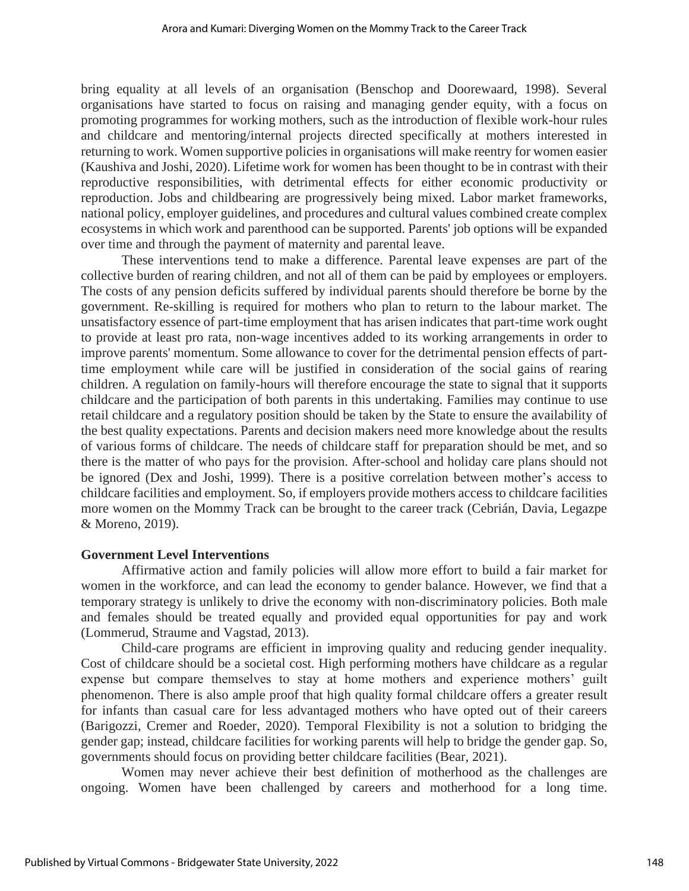bring equality at all levels of an organisation (Benschop and Doorewaard, 1998). Several organisations have started to focus on raising and managing gender equity, with a focus on promoting programmes for working mothers, such as the introduction of flexible work-hour rules and childcare and mentoring/internal projects directed specifically at mothers interested in returning to work. Women supportive policies in organisations will make reentry for women easier (Kaushiva and Joshi, 2020). Lifetime work for women has been thought to be in contrast with their reproductive responsibilities, with detrimental effects for either economic productivity or reproduction. Jobs and childbearing are progressively being mixed. Labor market frameworks, national policy, employer guidelines, and procedures and cultural values combined create complex ecosystems in which work and parenthood can be supported. Parents' job options will be expanded over time and through the payment of maternity and parental leave.

These interventions tend to make a difference. Parental leave expenses are part of the collective burden of rearing children, and not all of them can be paid by employees or employers. The costs of any pension deficits suffered by individual parents should therefore be borne by the government. Re-skilling is required for mothers who plan to return to the labour market. The unsatisfactory essence of part-time employment that has arisen indicates that part-time work ought to provide at least pro rata, non-wage incentives added to its working arrangements in order to improve parents' momentum. Some allowance to cover for the detrimental pension effects of parttime employment while care will be justified in consideration of the social gains of rearing children. A regulation on family-hours will therefore encourage the state to signal that it supports childcare and the participation of both parents in this undertaking. Families may continue to use retail childcare and a regulatory position should be taken by the State to ensure the availability of the best quality expectations. Parents and decision makers need more knowledge about the results of various forms of childcare. The needs of childcare staff for preparation should be met, and so there is the matter of who pays for the provision. After-school and holiday care plans should not be ignored (Dex and Joshi, 1999). There is a positive correlation between mother's access to childcare facilities and employment. So, if employers provide mothers access to childcare facilities more women on the Mommy Track can be brought to the career track (Cebrián, Davia, Legazpe & Moreno, 2019).

#### **Government Level Interventions**

Affirmative action and family policies will allow more effort to build a fair market for women in the workforce, and can lead the economy to gender balance. However, we find that a temporary strategy is unlikely to drive the economy with non-discriminatory policies. Both male and females should be treated equally and provided equal opportunities for pay and work (Lommerud, Straume and Vagstad, 2013).

Child-care programs are efficient in improving quality and reducing gender inequality. Cost of childcare should be a societal cost. High performing mothers have childcare as a regular expense but compare themselves to stay at home mothers and experience mothers' guilt phenomenon. There is also ample proof that high quality formal childcare offers a greater result for infants than casual care for less advantaged mothers who have opted out of their careers (Barigozzi, Cremer and Roeder, 2020). Temporal Flexibility is not a solution to bridging the gender gap; instead, childcare facilities for working parents will help to bridge the gender gap. So, governments should focus on providing better childcare facilities (Bear, 2021).

Women may never achieve their best definition of motherhood as the challenges are ongoing. Women have been challenged by careers and motherhood for a long time.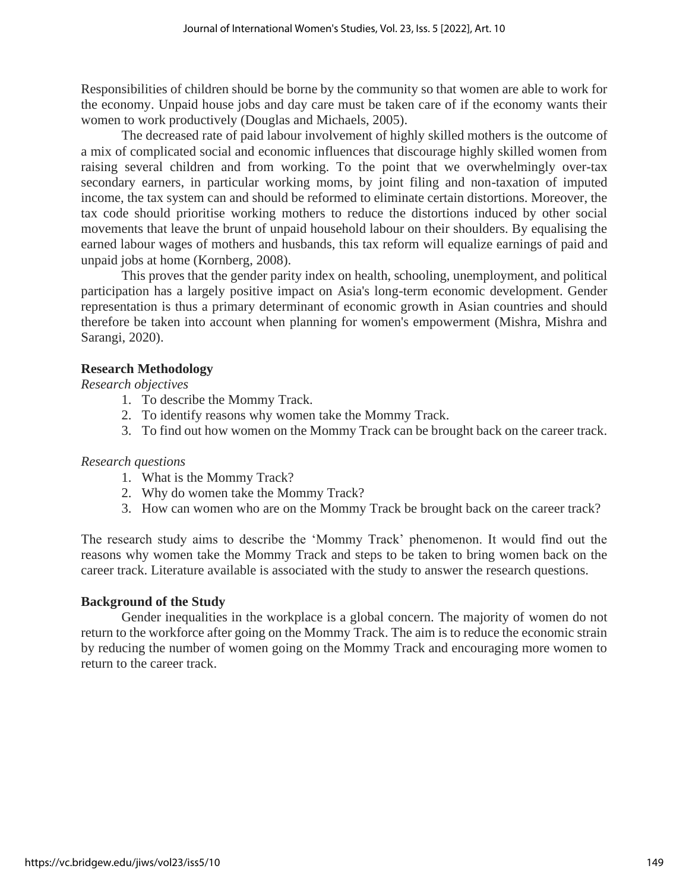Responsibilities of children should be borne by the community so that women are able to work for the economy. Unpaid house jobs and day care must be taken care of if the economy wants their women to work productively (Douglas and Michaels, 2005).

The decreased rate of paid labour involvement of highly skilled mothers is the outcome of a mix of complicated social and economic influences that discourage highly skilled women from raising several children and from working. To the point that we overwhelmingly over-tax secondary earners, in particular working moms, by joint filing and non-taxation of imputed income, the tax system can and should be reformed to eliminate certain distortions. Moreover, the tax code should prioritise working mothers to reduce the distortions induced by other social movements that leave the brunt of unpaid household labour on their shoulders. By equalising the earned labour wages of mothers and husbands, this tax reform will equalize earnings of paid and unpaid jobs at home (Kornberg, 2008).

This proves that the gender parity index on health, schooling, unemployment, and political participation has a largely positive impact on Asia's long-term economic development. Gender representation is thus a primary determinant of economic growth in Asian countries and should therefore be taken into account when planning for women's empowerment (Mishra, Mishra and Sarangi, 2020).

## **Research Methodology**

*Research objectives*

- 1. To describe the Mommy Track.
- 2. To identify reasons why women take the Mommy Track.
- 3. To find out how women on the Mommy Track can be brought back on the career track.

#### *Research questions*

- 1. What is the Mommy Track?
- 2. Why do women take the Mommy Track?
- 3. How can women who are on the Mommy Track be brought back on the career track?

The research study aims to describe the 'Mommy Track' phenomenon. It would find out the reasons why women take the Mommy Track and steps to be taken to bring women back on the career track. Literature available is associated with the study to answer the research questions.

#### **Background of the Study**

Gender inequalities in the workplace is a global concern. The majority of women do not return to the workforce after going on the Mommy Track. The aim is to reduce the economic strain by reducing the number of women going on the Mommy Track and encouraging more women to return to the career track.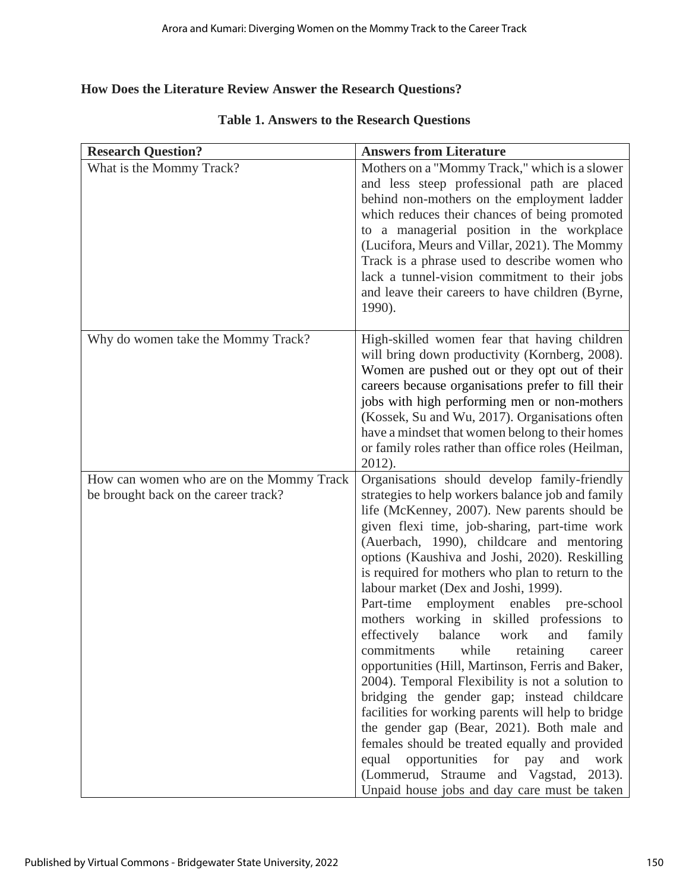# **How Does the Literature Review Answer the Research Questions?**

| <b>Research Question?</b>                | <b>Answers from Literature</b>                                                                                                                                                                                                                                                                                                                                                                                                                                                                                                                                                                                                                                                                                                                                                                                                                                                                                                                                                                   |
|------------------------------------------|--------------------------------------------------------------------------------------------------------------------------------------------------------------------------------------------------------------------------------------------------------------------------------------------------------------------------------------------------------------------------------------------------------------------------------------------------------------------------------------------------------------------------------------------------------------------------------------------------------------------------------------------------------------------------------------------------------------------------------------------------------------------------------------------------------------------------------------------------------------------------------------------------------------------------------------------------------------------------------------------------|
| What is the Mommy Track?                 | Mothers on a "Mommy Track," which is a slower<br>and less steep professional path are placed<br>behind non-mothers on the employment ladder<br>which reduces their chances of being promoted<br>to a managerial position in the workplace<br>(Lucifora, Meurs and Villar, 2021). The Mommy<br>Track is a phrase used to describe women who<br>lack a tunnel-vision commitment to their jobs<br>and leave their careers to have children (Byrne,<br>1990).                                                                                                                                                                                                                                                                                                                                                                                                                                                                                                                                        |
| Why do women take the Mommy Track?       | High-skilled women fear that having children<br>will bring down productivity (Kornberg, 2008).<br>Women are pushed out or they opt out of their<br>careers because organisations prefer to fill their<br>jobs with high performing men or non-mothers<br>(Kossek, Su and Wu, 2017). Organisations often<br>have a mindset that women belong to their homes<br>or family roles rather than office roles (Heilman,<br>2012).                                                                                                                                                                                                                                                                                                                                                                                                                                                                                                                                                                       |
| How can women who are on the Mommy Track | Organisations should develop family-friendly                                                                                                                                                                                                                                                                                                                                                                                                                                                                                                                                                                                                                                                                                                                                                                                                                                                                                                                                                     |
| be brought back on the career track?     | strategies to help workers balance job and family<br>life (McKenney, 2007). New parents should be<br>given flexi time, job-sharing, part-time work<br>(Auerbach, 1990), childcare and mentoring<br>options (Kaushiva and Joshi, 2020). Reskilling<br>is required for mothers who plan to return to the<br>labour market (Dex and Joshi, 1999).<br>Part-time employment enables pre-school<br>mothers working in skilled professions to<br>effectively<br>balance<br>work<br>and<br>family<br>while<br>commitments<br>retaining<br>career<br>opportunities (Hill, Martinson, Ferris and Baker,<br>2004). Temporal Flexibility is not a solution to<br>bridging the gender gap; instead childcare<br>facilities for working parents will help to bridge<br>the gender gap (Bear, 2021). Both male and<br>females should be treated equally and provided<br>opportunities for pay<br>equal<br>and<br>work<br>(Lommerud, Straume and Vagstad, 2013).<br>Unpaid house jobs and day care must be taken |

# **Table 1. Answers to the Research Questions**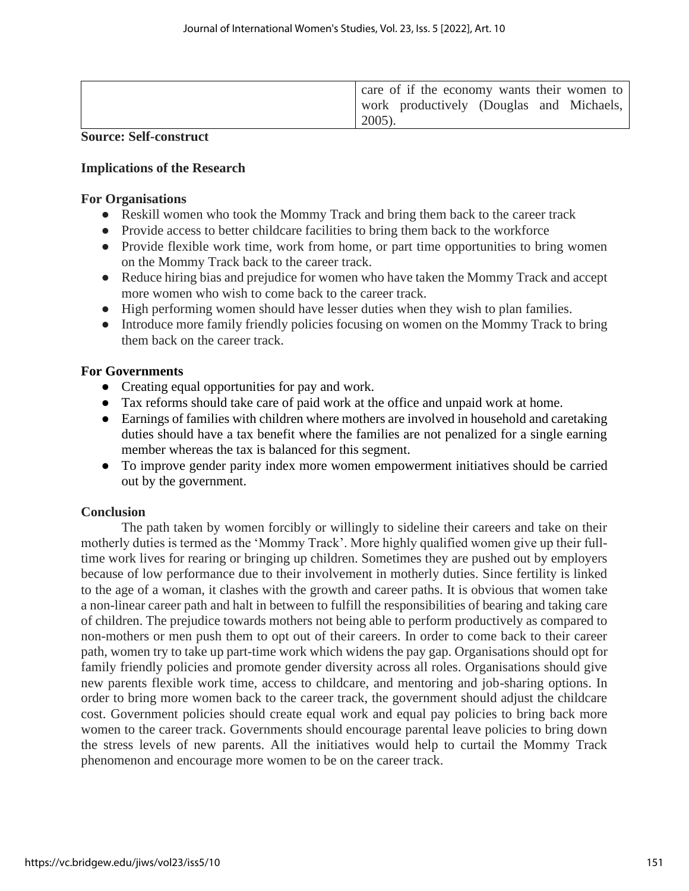| care of if the economy wants their women to |
|---------------------------------------------|
| work productively (Douglas and Michaels,    |
| $2005$ ).                                   |

#### **Source: Self-construct**

#### **Implications of the Research**

#### **For Organisations**

- Reskill women who took the Mommy Track and bring them back to the career track
- Provide access to better childcare facilities to bring them back to the workforce
- Provide flexible work time, work from home, or part time opportunities to bring women on the Mommy Track back to the career track.
- Reduce hiring bias and prejudice for women who have taken the Mommy Track and accept more women who wish to come back to the career track.
- High performing women should have lesser duties when they wish to plan families.
- Introduce more family friendly policies focusing on women on the Mommy Track to bring them back on the career track.

## **For Governments**

- Creating equal opportunities for pay and work.
- Tax reforms should take care of paid work at the office and unpaid work at home.
- Earnings of families with children where mothers are involved in household and caretaking duties should have a tax benefit where the families are not penalized for a single earning member whereas the tax is balanced for this segment.
- To improve gender parity index more women empowerment initiatives should be carried out by the government.

# **Conclusion**

The path taken by women forcibly or willingly to sideline their careers and take on their motherly duties is termed as the 'Mommy Track'. More highly qualified women give up their fulltime work lives for rearing or bringing up children. Sometimes they are pushed out by employers because of low performance due to their involvement in motherly duties. Since fertility is linked to the age of a woman, it clashes with the growth and career paths. It is obvious that women take a non-linear career path and halt in between to fulfill the responsibilities of bearing and taking care of children. The prejudice towards mothers not being able to perform productively as compared to non-mothers or men push them to opt out of their careers. In order to come back to their career path, women try to take up part-time work which widens the pay gap. Organisations should opt for family friendly policies and promote gender diversity across all roles. Organisations should give new parents flexible work time, access to childcare, and mentoring and job-sharing options. In order to bring more women back to the career track, the government should adjust the childcare cost. Government policies should create equal work and equal pay policies to bring back more women to the career track. Governments should encourage parental leave policies to bring down the stress levels of new parents. All the initiatives would help to curtail the Mommy Track phenomenon and encourage more women to be on the career track.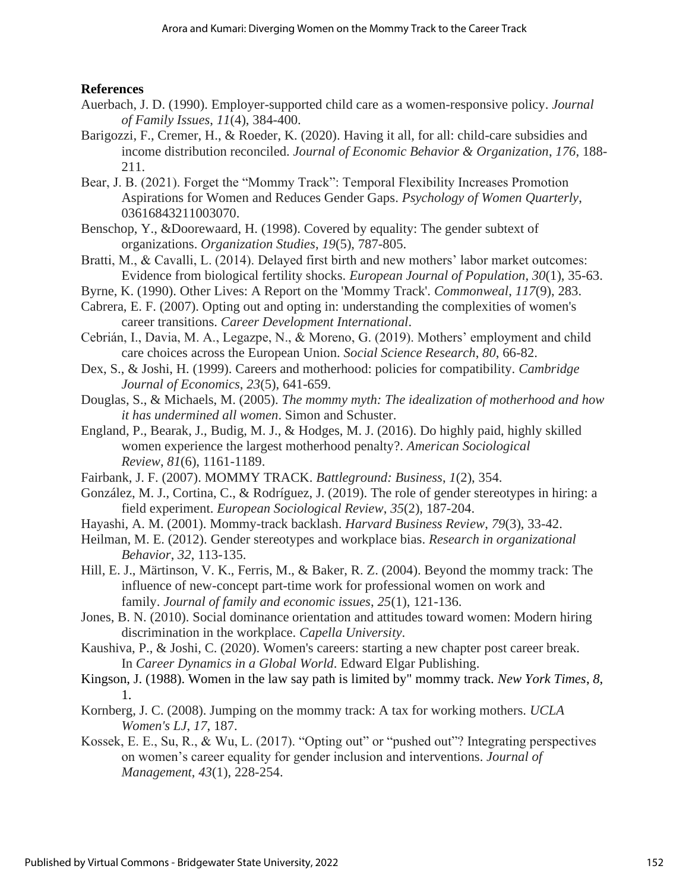# **References**

- Auerbach, J. D. (1990). Employer-supported child care as a women-responsive policy. *Journal of Family Issues*, *11*(4), 384-400.
- Barigozzi, F., Cremer, H., & Roeder, K. (2020). Having it all, for all: child-care subsidies and income distribution reconciled. *Journal of Economic Behavior & Organization*, *176*, 188- 211.
- Bear, J. B. (2021). Forget the "Mommy Track": Temporal Flexibility Increases Promotion Aspirations for Women and Reduces Gender Gaps. *Psychology of Women Quarterly*, 03616843211003070.
- Benschop, Y., &Doorewaard, H. (1998). Covered by equality: The gender subtext of organizations. *Organization Studies*, *19*(5), 787-805.
- Bratti, M., & Cavalli, L. (2014). Delayed first birth and new mothers' labor market outcomes: Evidence from biological fertility shocks. *European Journal of Population*, *30*(1), 35-63.
- Byrne, K. (1990). Other Lives: A Report on the 'Mommy Track'. *Commonweal*, *117*(9), 283.
- Cabrera, E. F. (2007). Opting out and opting in: understanding the complexities of women's career transitions. *Career Development International*.
- Cebrián, I., Davia, M. A., Legazpe, N., & Moreno, G. (2019). Mothers' employment and child care choices across the European Union. *Social Science Research*, *80*, 66-82.
- Dex, S., & Joshi, H. (1999). Careers and motherhood: policies for compatibility. *Cambridge Journal of Economics*, *23*(5), 641-659.
- Douglas, S., & Michaels, M. (2005). *The mommy myth: The idealization of motherhood and how it has undermined all women*. Simon and Schuster.
- England, P., Bearak, J., Budig, M. J., & Hodges, M. J. (2016). Do highly paid, highly skilled women experience the largest motherhood penalty?. *American Sociological Review*, *81*(6), 1161-1189.
- Fairbank, J. F. (2007). MOMMY TRACK. *Battleground: Business*, *1*(2), 354.
- González, M. J., Cortina, C., & Rodríguez, J. (2019). The role of gender stereotypes in hiring: a field experiment. *European Sociological Review*, *35*(2), 187-204.
- Hayashi, A. M. (2001). Mommy-track backlash. *Harvard Business Review*, *79*(3), 33-42.
- Heilman, M. E. (2012). Gender stereotypes and workplace bias. *Research in organizational Behavior*, *32*, 113-135.
- Hill, E. J., Märtinson, V. K., Ferris, M., & Baker, R. Z. (2004). Beyond the mommy track: The influence of new-concept part-time work for professional women on work and family. *Journal of family and economic issues*, *25*(1), 121-136.
- Jones, B. N. (2010). Social dominance orientation and attitudes toward women: Modern hiring discrimination in the workplace. *Capella University*.
- Kaushiva, P., & Joshi, C. (2020). Women's careers: starting a new chapter post career break. In *Career Dynamics in a Global World*. Edward Elgar Publishing.
- Kingson, J. (1988). Women in the law say path is limited by" mommy track. *New York Times*, *8*, 1.
- Kornberg, J. C. (2008). Jumping on the mommy track: A tax for working mothers. *UCLA Women's LJ*, *17*, 187.
- Kossek, E. E., Su, R., & Wu, L. (2017). "Opting out" or "pushed out"? Integrating perspectives on women's career equality for gender inclusion and interventions. *Journal of Management*, *43*(1), 228-254.